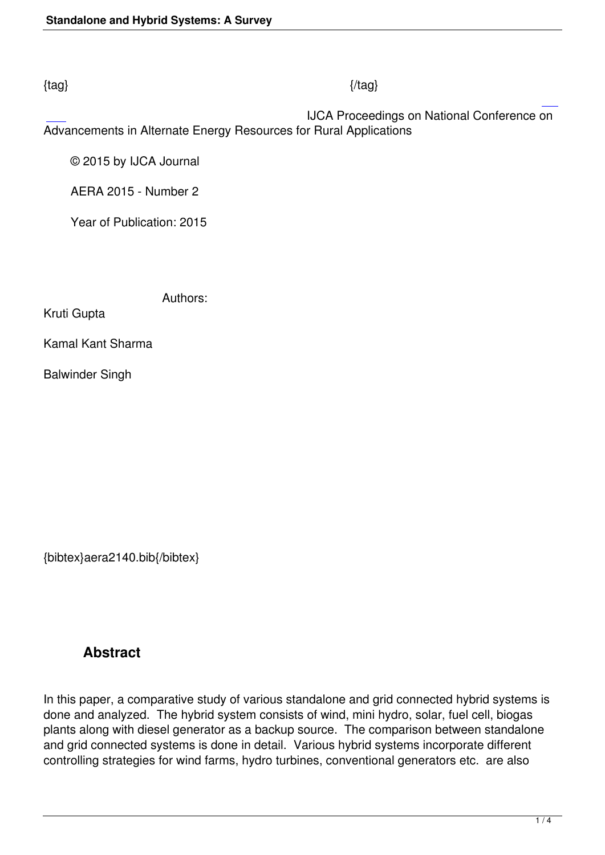#### $\{tag\}$

 IJCA Proceedings on National Conference on Advancements in Alternate Energy Resources for Rural Applications

© 2015 by IJCA Journal

AERA 2015 - Number 2

Year of Publication: 2015

Authors:

Kruti Gupta

Kamal Kant Sharma

Balwinder Singh

{bibtex}aera2140.bib{/bibtex}

## **Abstract**

In this paper, a comparative study of various standalone and grid connected hybrid systems is done and analyzed. The hybrid system consists of wind, mini hydro, solar, fuel cell, biogas plants along with diesel generator as a backup source. The comparison between standalone and grid connected systems is done in detail. Various hybrid systems incorporate different controlling strategies for wind farms, hydro turbines, conventional generators etc. are also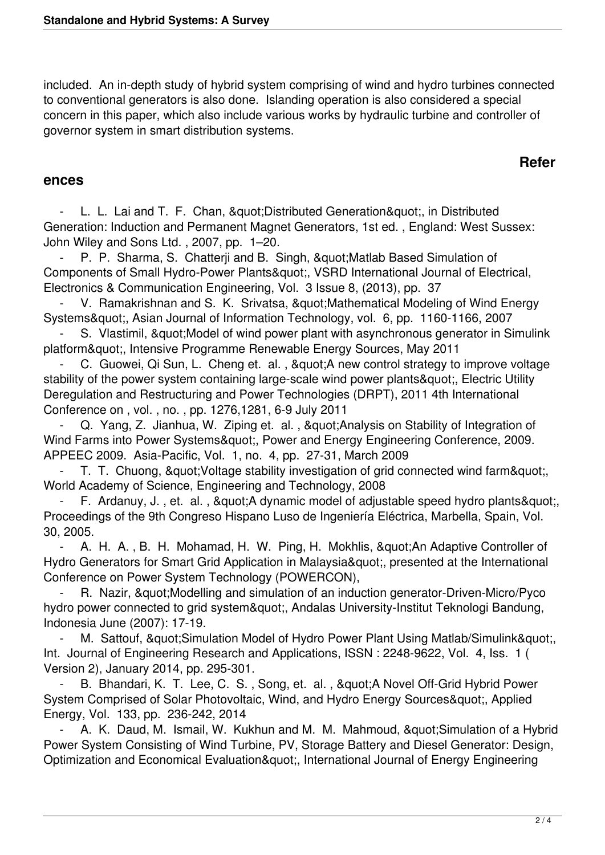included. An in-depth study of hybrid system comprising of wind and hydro turbines connected to conventional generators is also done. Islanding operation is also considered a special concern in this paper, which also include various works by hydraulic turbine and controller of governor system in smart distribution systems.

### **Refer**

#### **ences**

L. L. Lai and T. F. Chan, & quot; Distributed Generation & quot;, in Distributed Generation: Induction and Permanent Magnet Generators, 1st ed. , England: West Sussex: John Wiley and Sons Ltd. , 2007, pp. 1–20.

P. P. Sharma, S. Chatterji and B. Singh, " Matlab Based Simulation of Components of Small Hydro-Power Plants", VSRD International Journal of Electrical, Electronics & Communication Engineering, Vol. 3 Issue 8, (2013), pp. 37

V. Ramakrishnan and S. K. Srivatsa, & quot; Mathematical Modeling of Wind Energy Systems", Asian Journal of Information Technology, vol. 6, pp. 1160-1166, 2007

S. Vlastimil, " Model of wind power plant with asynchronous generator in Simulink platform", Intensive Programme Renewable Energy Sources, May 2011

C. Guowei, Qi Sun, L. Cheng et. al., "A new control strategy to improve voltage stability of the power system containing large-scale wind power plants", Electric Utility Deregulation and Restructuring and Power Technologies (DRPT), 2011 4th International Conference on , vol. , no. , pp. 1276,1281, 6-9 July 2011

Q. Yang, Z. Jianhua, W. Ziping et. al., " Analysis on Stability of Integration of Wind Farms into Power Systems&quot:, Power and Energy Engineering Conference, 2009. APPEEC 2009. Asia-Pacific, Vol. 1, no. 4, pp. 27-31, March 2009

T. T. Chuong, & quot; Voltage stability investigation of grid connected wind farm & quot; World Academy of Science, Engineering and Technology, 2008

F. Ardanuy, J., et. al., & quot; A dynamic model of adjustable speed hydro plants & quot; Proceedings of the 9th Congreso Hispano Luso de Ingeniería Eléctrica, Marbella, Spain, Vol. 30, 2005.

A. H. A., B. H. Mohamad, H. W. Ping, H. Mokhlis, " An Adaptive Controller of Hydro Generators for Smart Grid Application in Malaysia", presented at the International Conference on Power System Technology (POWERCON),

R. Nazir, & quot; Modelling and simulation of an induction generator-Driven-Micro/Pyco hydro power connected to grid system", Andalas University-Institut Teknologi Bandung, Indonesia June (2007): 17-19.

M. Sattouf, & quot: Simulation Model of Hydro Power Plant Using Matlab/Simulink & quot:.. Int. Journal of Engineering Research and Applications, ISSN : 2248-9622, Vol. 4, Iss. 1 ( Version 2), January 2014, pp. 295-301.

B. Bhandari, K. T. Lee, C. S., Song, et. al., " A Novel Off-Grid Hybrid Power System Comprised of Solar Photovoltaic, Wind, and Hydro Energy Sources", Applied Energy, Vol. 133, pp. 236-242, 2014

A. K. Daud, M. Ismail, W. Kukhun and M. M. Mahmoud, " Simulation of a Hybrid Power System Consisting of Wind Turbine, PV, Storage Battery and Diesel Generator: Design, Optimization and Economical Evaluation", International Journal of Energy Engineering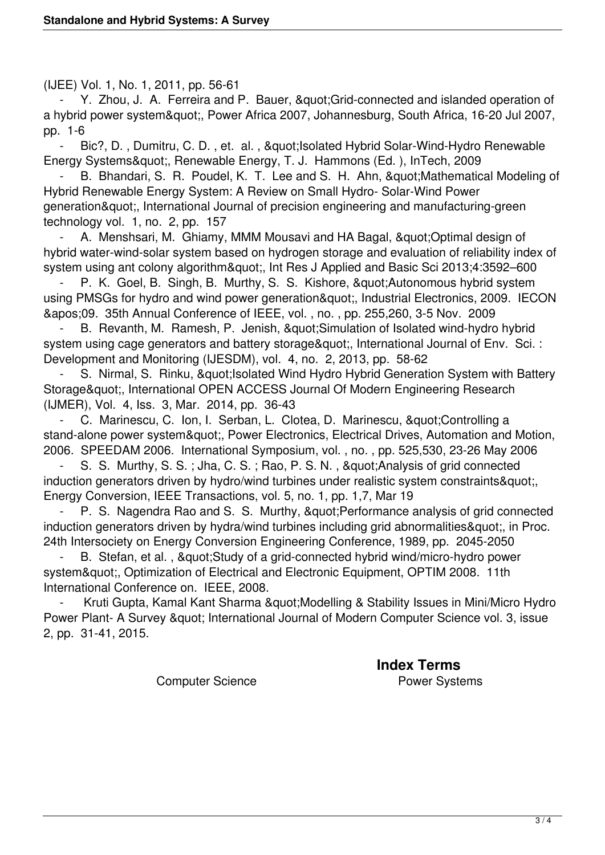(IJEE) Vol. 1, No. 1, 2011, pp. 56-61

Y. Zhou, J. A. Ferreira and P. Bauer, & quot; Grid-connected and islanded operation of a hybrid power system", Power Africa 2007, Johannesburg, South Africa, 16-20 Jul 2007, pp. 1-6

Bic?, D., Dumitru, C. D., et. al., & quot; Isolated Hybrid Solar-Wind-Hydro Renewable Energy Systems", Renewable Energy, T. J. Hammons (Ed.), InTech, 2009

B. Bhandari, S. R. Poudel, K. T. Lee and S. H. Ahn, & quot: Mathematical Modeling of Hybrid Renewable Energy System: A Review on Small Hydro- Solar-Wind Power generation", International Journal of precision engineering and manufacturing-green technology vol. 1, no. 2, pp. 157

A. Menshsari, M. Ghiamy, MMM Mousavi and HA Bagal, " Optimal design of hybrid water-wind-solar system based on hydrogen storage and evaluation of reliability index of system using ant colony algorithm", Int Res J Applied and Basic Sci 2013;4:3592–600

P. K. Goel, B. Singh, B. Murthy, S. S. Kishore, " Autonomous hybrid system using PMSGs for hydro and wind power generation", Industrial Electronics, 2009. IECON '09. 35th Annual Conference of IEEE, vol. , no. , pp. 255,260, 3-5 Nov. 2009

B. Revanth, M. Ramesh, P. Jenish, " Simulation of Isolated wind-hydro hybrid system using cage generators and battery storage&guot;, International Journal of Env. Sci. : Development and Monitoring (IJESDM), vol. 4, no. 2, 2013, pp. 58-62

S. Nirmal, S. Rinku, & quot; Isolated Wind Hydro Hybrid Generation System with Battery Storage", International OPEN ACCESS Journal Of Modern Engineering Research (IJMER), Vol. 4, Iss. 3, Mar. 2014, pp. 36-43

C. Marinescu, C. Ion, I. Serban, L. Clotea, D. Marinescu, " Controlling a stand-alone power system", Power Electronics, Electrical Drives, Automation and Motion, 2006. SPEEDAM 2006. International Symposium, vol. , no. , pp. 525,530, 23-26 May 2006

S. S. Murthy, S. S.; Jha, C. S.; Rao, P. S. N., & quot; Analysis of grid connected induction generators driven by hydro/wind turbines under realistic system constraints", Energy Conversion, IEEE Transactions, vol. 5, no. 1, pp. 1,7, Mar 19

P. S. Nagendra Rao and S. S. Murthy, & quot; Performance analysis of grid connected induction generators driven by hydra/wind turbines including grid abnormalities", in Proc. 24th Intersociety on Energy Conversion Engineering Conference, 1989, pp. 2045-2050

B. Stefan, et al., & quot; Study of a grid-connected hybrid wind/micro-hydro power system&quot:, Optimization of Electrical and Electronic Equipment, OPTIM 2008. 11th International Conference on. IEEE, 2008.

Kruti Gupta, Kamal Kant Sharma & quot; Modelling & Stability Issues in Mini/Micro Hydro Power Plant- A Survey & quot; International Journal of Modern Computer Science vol. 3, issue 2, pp. 31-41, 2015.

**Index Terms** 

Computer Science **Power Systems**